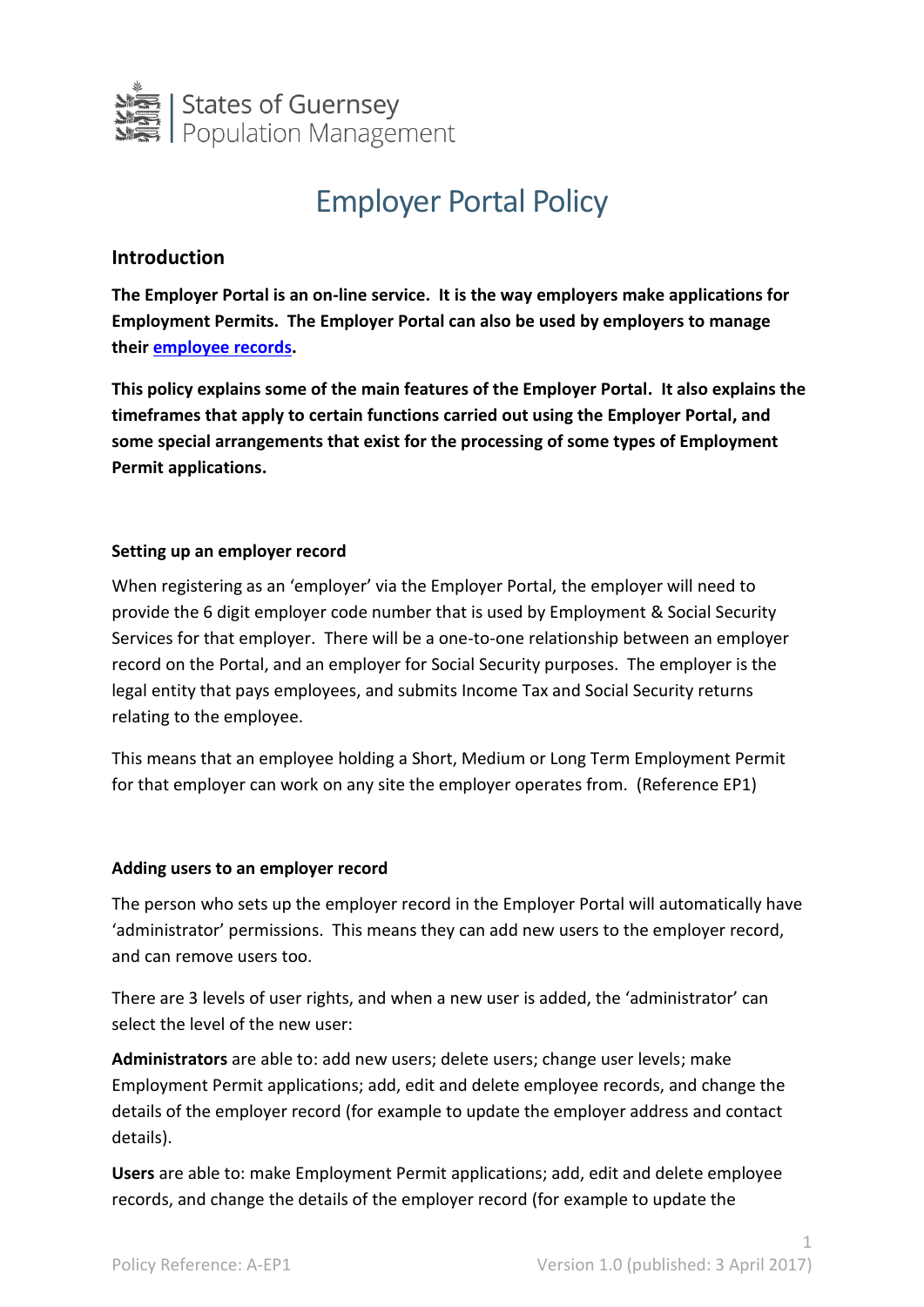

# Employer Portal Policy

## **Introduction**

**The Employer Portal is an on-line service. It is the way employers make applications for Employment Permits. The Employer Portal can also be used by employers to manage their [employee records.](https://gov.gg/CHttpHandler.ashx?id=106767&p=0)**

**This policy explains some of the main features of the Employer Portal. It also explains the timeframes that apply to certain functions carried out using the Employer Portal, and some special arrangements that exist for the processing of some types of Employment Permit applications.**

## **Setting up an employer record**

When registering as an 'employer' via the Employer Portal, the employer will need to provide the 6 digit employer code number that is used by Employment & Social Security Services for that employer. There will be a one-to-one relationship between an employer record on the Portal, and an employer for Social Security purposes. The employer is the legal entity that pays employees, and submits Income Tax and Social Security returns relating to the employee.

This means that an employee holding a Short, Medium or Long Term Employment Permit for that employer can work on any site the employer operates from. (Reference EP1)

#### **Adding users to an employer record**

The person who sets up the employer record in the Employer Portal will automatically have 'administrator' permissions. This means they can add new users to the employer record, and can remove users too.

There are 3 levels of user rights, and when a new user is added, the 'administrator' can select the level of the new user:

**Administrators** are able to: add new users; delete users; change user levels; make Employment Permit applications; add, edit and delete employee records, and change the details of the employer record (for example to update the employer address and contact details).

**Users** are able to: make Employment Permit applications; add, edit and delete employee records, and change the details of the employer record (for example to update the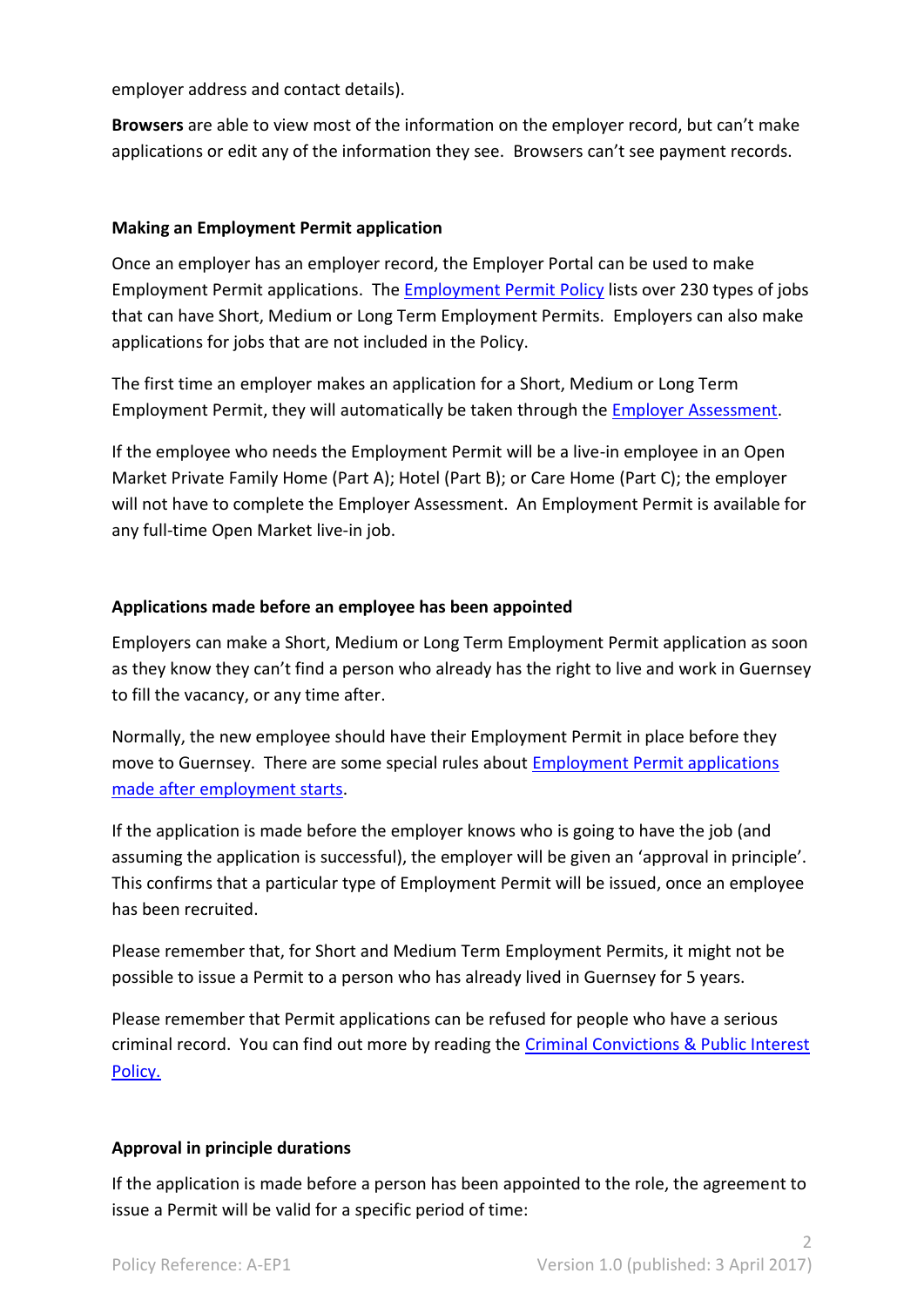employer address and contact details).

**Browsers** are able to view most of the information on the employer record, but can't make applications or edit any of the information they see. Browsers can't see payment records.

#### **Making an Employment Permit application**

Once an employer has an employer record, the Employer Portal can be used to make Employment Permit applications. The [Employment Permit Policy](https://gov.gg/CHttpHandler.ashx?id=106413&p=0) lists over 230 types of jobs that can have Short, Medium or Long Term Employment Permits. Employers can also make applications for jobs that are not included in the Policy.

The first time an employer makes an application for a Short, Medium or Long Term Employment Permit, they will automatically be taken through the [Employer Assessment.](https://gov.gg/employerassesspolicy)

If the employee who needs the Employment Permit will be a live-in employee in an Open Market Private Family Home (Part A); Hotel (Part B); or Care Home (Part C); the employer will not have to complete the Employer Assessment. An Employment Permit is available for any full-time Open Market live-in job.

#### **Applications made before an employee has been appointed**

Employers can make a Short, Medium or Long Term Employment Permit application as soon as they know they can't find a person who already has the right to live and work in Guernsey to fill the vacancy, or any time after.

Normally, the new employee should have their Employment Permit in place before they move to Guernsey. There are some special rules about **Employment Permit applications** [made after employment starts.](https://gov.gg/epappsafteremp)

If the application is made before the employer knows who is going to have the job (and assuming the application is successful), the employer will be given an 'approval in principle'. This confirms that a particular type of Employment Permit will be issued, once an employee has been recruited.

Please remember that, for Short and Medium Term Employment Permits, it might not be possible to issue a Permit to a person who has already lived in Guernsey for 5 years.

Please remember that Permit applications can be refused for people who have a serious criminal record. You can find out more by reading the [Criminal Convictions & Public Interest](https://gov.gg/criminalconvictions)  [Policy.](https://gov.gg/criminalconvictions)

#### **Approval in principle durations**

If the application is made before a person has been appointed to the role, the agreement to issue a Permit will be valid for a specific period of time: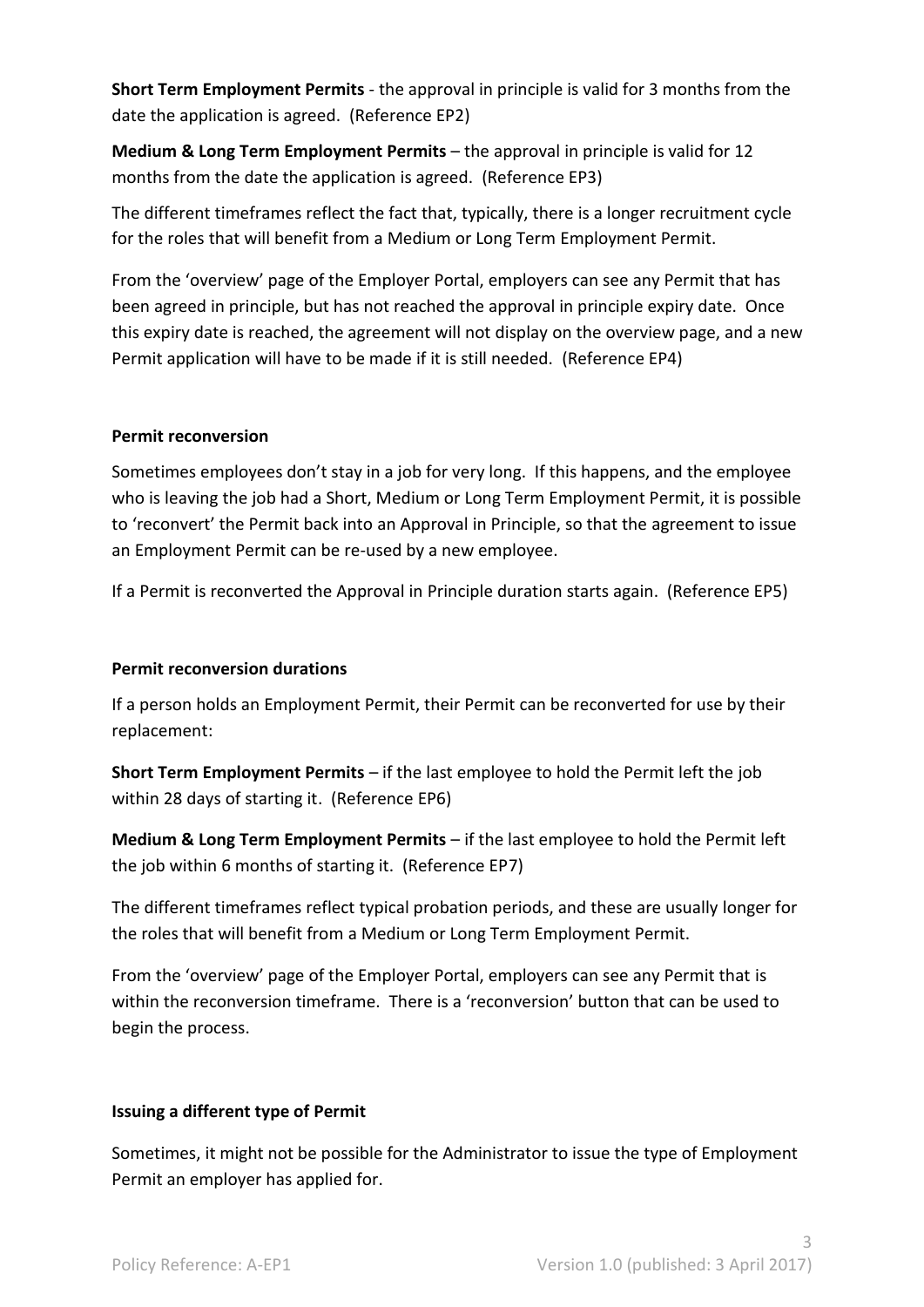**Short Term Employment Permits** - the approval in principle is valid for 3 months from the date the application is agreed. (Reference EP2)

**Medium & Long Term Employment Permits** – the approval in principle is valid for 12 months from the date the application is agreed. (Reference EP3)

The different timeframes reflect the fact that, typically, there is a longer recruitment cycle for the roles that will benefit from a Medium or Long Term Employment Permit.

From the 'overview' page of the Employer Portal, employers can see any Permit that has been agreed in principle, but has not reached the approval in principle expiry date. Once this expiry date is reached, the agreement will not display on the overview page, and a new Permit application will have to be made if it is still needed. (Reference EP4)

#### **Permit reconversion**

Sometimes employees don't stay in a job for very long. If this happens, and the employee who is leaving the job had a Short, Medium or Long Term Employment Permit, it is possible to 'reconvert' the Permit back into an Approval in Principle, so that the agreement to issue an Employment Permit can be re-used by a new employee.

If a Permit is reconverted the Approval in Principle duration starts again. (Reference EP5)

## **Permit reconversion durations**

If a person holds an Employment Permit, their Permit can be reconverted for use by their replacement:

**Short Term Employment Permits** – if the last employee to hold the Permit left the job within 28 days of starting it. (Reference EP6)

**Medium & Long Term Employment Permits** – if the last employee to hold the Permit left the job within 6 months of starting it. (Reference EP7)

The different timeframes reflect typical probation periods, and these are usually longer for the roles that will benefit from a Medium or Long Term Employment Permit.

From the 'overview' page of the Employer Portal, employers can see any Permit that is within the reconversion timeframe. There is a 'reconversion' button that can be used to begin the process.

## **Issuing a different type of Permit**

Sometimes, it might not be possible for the Administrator to issue the type of Employment Permit an employer has applied for.